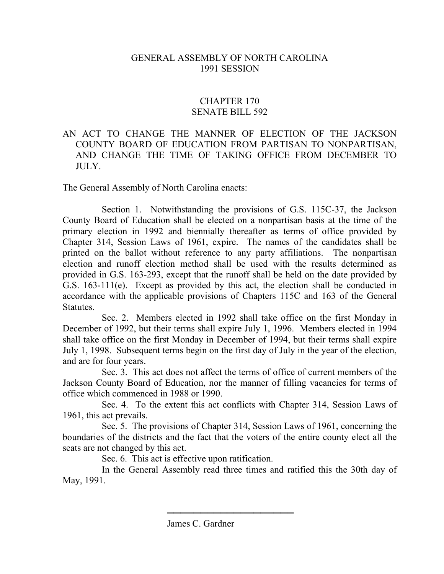## GENERAL ASSEMBLY OF NORTH CAROLINA 1991 SESSION

## CHAPTER 170 SENATE BILL 592

## AN ACT TO CHANGE THE MANNER OF ELECTION OF THE JACKSON COUNTY BOARD OF EDUCATION FROM PARTISAN TO NONPARTISAN, AND CHANGE THE TIME OF TAKING OFFICE FROM DECEMBER TO  $\Pi$   $\Pi$   $\bf{Y}$

The General Assembly of North Carolina enacts:

Section 1. Notwithstanding the provisions of G.S. 115C-37, the Jackson County Board of Education shall be elected on a nonpartisan basis at the time of the primary election in 1992 and biennially thereafter as terms of office provided by Chapter 314, Session Laws of 1961, expire. The names of the candidates shall be printed on the ballot without reference to any party affiliations. The nonpartisan election and runoff election method shall be used with the results determined as provided in G.S. 163-293, except that the runoff shall be held on the date provided by G.S. 163-111(e). Except as provided by this act, the election shall be conducted in accordance with the applicable provisions of Chapters 115C and 163 of the General Statutes.

Sec. 2. Members elected in 1992 shall take office on the first Monday in December of 1992, but their terms shall expire July 1, 1996. Members elected in 1994 shall take office on the first Monday in December of 1994, but their terms shall expire July 1, 1998. Subsequent terms begin on the first day of July in the year of the election, and are for four years.

Sec. 3. This act does not affect the terms of office of current members of the Jackson County Board of Education, nor the manner of filling vacancies for terms of office which commenced in 1988 or 1990.

Sec. 4. To the extent this act conflicts with Chapter 314, Session Laws of 1961, this act prevails.

Sec. 5. The provisions of Chapter 314, Session Laws of 1961, concerning the boundaries of the districts and the fact that the voters of the entire county elect all the seats are not changed by this act.

Sec. 6. This act is effective upon ratification.

In the General Assembly read three times and ratified this the 30th day of May, 1991.

───────────────────